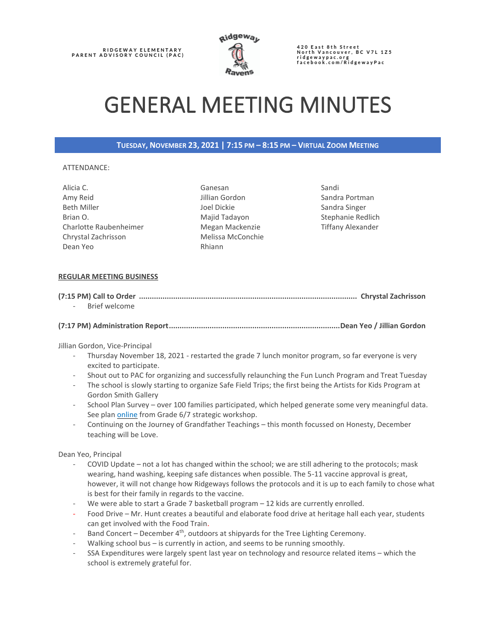RIDGEWAY ELEMENTARY<br>PARENT ADVISORY COUNCIL (PAC)



420 East 8th Street<br>North Vancouver, BC V7L 1Z5<br>ridgewaypac.org<br>facebook.com/RidgewayPac

# GENERAL MEETING MINUTES

### **TUESDAY, NOVEMBER 23, 2021 | 7:15 PM – 8:15 PM – VIRTUAL ZOOM MEETING**

#### ATTENDANCE:

| Alicia C.              | Ganesan           |
|------------------------|-------------------|
| Amy Reid               | Jillian Gordon    |
| <b>Beth Miller</b>     | Joel Dickie       |
| Brian O.               | Majid Tadayon     |
| Charlotte Raubenheimer | Megan Mackenzie   |
| Chrystal Zachrisson    | Melissa McConchie |
| Dean Yeo               | Rhiann            |
|                        |                   |

Sandi Sandra Portman Sandra Singer Stephanie Redlich Tiffany Alexander

#### **REGULAR MEETING BUSINESS**

| - Brief welcome |  |
|-----------------|--|

|--|--|--|--|--|

Jillian Gordon, Vice-Principal

- Thursday November 18, 2021 restarted the grade 7 lunch monitor program, so far everyone is very excited to participate.
- Shout out to PAC for organizing and successfully relaunching the Fun Lunch Program and Treat Tuesday
- The school is slowly starting to organize Safe Field Trips; the first being the Artists for Kids Program at Gordon Smith Gallery
- School Plan Survey over 100 families participated, which helped generate some very meaningful data. See pla[n online](https://vibrantlearning.sd44.ca/school-plan/ridgeway-elementary/) from Grade 6/7 strategic workshop.
- Continuing on the Journey of Grandfather Teachings this month focussed on Honesty, December teaching will be Love.

Dean Yeo, Principal

- COVID Update not a lot has changed within the school; we are still adhering to the protocols; mask wearing, hand washing, keeping safe distances when possible. The 5-11 vaccine approval is great, however, it will not change how Ridgeways follows the protocols and it is up to each family to chose what is best for their family in regards to the vaccine.
- We were able to start a Grade 7 basketball program  $-$  12 kids are currently enrolled.
- Food Drive Mr. Hunt creates a beautiful and elaborate food drive at heritage hall each year, students can get involved with the Food Train.
- Band Concert December  $4<sup>th</sup>$ , outdoors at shipyards for the Tree Lighting Ceremony.
- Walking school bus is currently in action, and seems to be running smoothly.
- SSA Expenditures were largely spent last year on technology and resource related items which the school is extremely grateful for.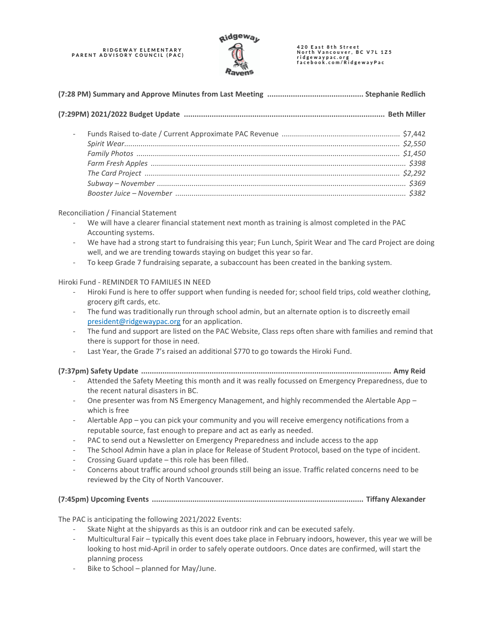# RIDGEWAY ELEMENTARY<br>PARENT ADVISORY COUNCIL (PAC)



420 East 8th Street<br>North Vancouver, BC V7L 1Z5 ridgewaypac.org<br>facebook.com/RidgewayPac

| $\overline{\phantom{a}}$ |  |  |
|--------------------------|--|--|
|                          |  |  |
|                          |  |  |
|                          |  |  |
|                          |  |  |
|                          |  |  |
|                          |  |  |

#### Reconciliation / Financial Statement

- We will have a clearer financial statement next month as training is almost completed in the PAC Accounting systems.
- We have had a strong start to fundraising this year; Fun Lunch, Spirit Wear and The card Project are doing well, and we are trending towards staying on budget this year so far.
- To keep Grade 7 fundraising separate, a subaccount has been created in the banking system.

#### Hiroki Fund - REMINDER TO FAMILIES IN NEED

- Hiroki Fund is here to offer support when funding is needed for; school field trips, cold weather clothing, grocery gift cards, etc.
- The fund was traditionally run through school admin, but an alternate option is to discreetly email [president@ridgewaypac.org](mailto:president@ridgewaypac.org) for an application.
- The fund and support are listed on the PAC Website, Class reps often share with families and remind that there is support for those in need.
- Last Year, the Grade 7's raised an additional \$770 to go towards the Hiroki Fund.

#### **(7:37pm) Safety Update ..................................................................................................................... Amy Reid**

- Attended the Safety Meeting this month and it was really focussed on Emergency Preparedness, due to the recent natural disasters in BC.
- One presenter was from NS Emergency Management, and highly recommended the Alertable App which is free
- Alertable App you can pick your community and you will receive emergency notifications from a reputable source, fast enough to prepare and act as early as needed.
- PAC to send out a Newsletter on Emergency Preparedness and include access to the app
- The School Admin have a plan in place for Release of Student Protocol, based on the type of incident.
- Crossing Guard update this role has been filled.
- Concerns about traffic around school grounds still being an issue. Traffic related concerns need to be reviewed by the City of North Vancouver.

## **(7:45pm) Upcoming Events ................................................................................................... Tiffany Alexander**

The PAC is anticipating the following 2021/2022 Events:

- Skate Night at the shipyards as this is an outdoor rink and can be executed safely.
- Multicultural Fair typically this event does take place in February indoors, however, this year we will be looking to host mid-April in order to safely operate outdoors. Once dates are confirmed, will start the planning process
- Bike to School planned for May/June.